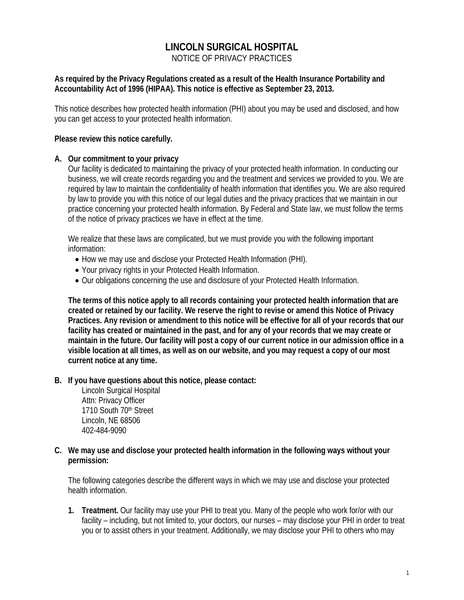# **LINCOLN SURGICAL HOSPITAL**

NOTICE OF PRIVACY PRACTICES

#### **As required by the Privacy Regulations created as a result of the Health Insurance Portability and Accountability Act of 1996 (HIPAA). This notice is effective as September 23, 2013.**

This notice describes how protected health information (PHI) about you may be used and disclosed, and how you can get access to your protected health information.

#### **Please review this notice carefully.**

#### **A. Our commitment to your privacy**

Our facility is dedicated to maintaining the privacy of your protected health information. In conducting our business, we will create records regarding you and the treatment and services we provided to you. We are required by law to maintain the confidentiality of health information that identifies you. We are also required by law to provide you with this notice of our legal duties and the privacy practices that we maintain in our practice concerning your protected health information. By Federal and State law, we must follow the terms of the notice of privacy practices we have in effect at the time.

We realize that these laws are complicated, but we must provide you with the following important information:

- How we may use and disclose your Protected Health Information (PHI).
- Your privacy rights in your Protected Health Information.
- Our obligations concerning the use and disclosure of your Protected Health Information.

**The terms of this notice apply to all records containing your protected health information that are created or retained by our facility. We reserve the right to revise or amend this Notice of Privacy Practices. Any revision or amendment to this notice will be effective for all of your records that our facility has created or maintained in the past, and for any of your records that we may create or maintain in the future. Our facility will post a copy of our current notice in our admission office in a visible location at all times, as well as on our website, and you may request a copy of our most current notice at any time.**

**B. If you have questions about this notice, please contact:**

Lincoln Surgical Hospital Attn: Privacy Officer 1710 South 70<sup>th</sup> Street Lincoln, NE 68506 402-484-9090

**C. We may use and disclose your protected health information in the following ways without your permission:**

The following categories describe the different ways in which we may use and disclose your protected health information.

**1. Treatment.** Our facility may use your PHI to treat you. Many of the people who work for/or with our facility – including, but not limited to, your doctors, our nurses – may disclose your PHI in order to treat you or to assist others in your treatment. Additionally, we may disclose your PHI to others who may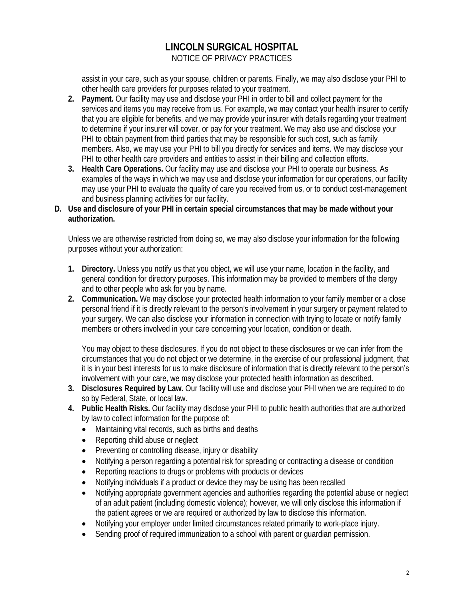assist in your care, such as your spouse, children or parents. Finally, we may also disclose your PHI to other health care providers for purposes related to your treatment.

- **2. Payment.** Our facility may use and disclose your PHI in order to bill and collect payment for the services and items you may receive from us. For example, we may contact your health insurer to certify that you are eligible for benefits, and we may provide your insurer with details regarding your treatment to determine if your insurer will cover, or pay for your treatment. We may also use and disclose your PHI to obtain payment from third parties that may be responsible for such cost, such as family members. Also, we may use your PHI to bill you directly for services and items. We may disclose your PHI to other health care providers and entities to assist in their billing and collection efforts.
- **3. Health Care Operations.** Our facility may use and disclose your PHI to operate our business. As examples of the ways in which we may use and disclose your information for our operations, our facility may use your PHI to evaluate the quality of care you received from us, or to conduct cost-management and business planning activities for our facility.
- **D. Use and disclosure of your PHI in certain special circumstances that may be made without your authorization.**

Unless we are otherwise restricted from doing so, we may also disclose your information for the following purposes without your authorization:

- **1. Directory.** Unless you notify us that you object, we will use your name, location in the facility, and general condition for directory purposes. This information may be provided to members of the clergy and to other people who ask for you by name.
- **2. Communication.** We may disclose your protected health information to your family member or a close personal friend if it is directly relevant to the person's involvement in your surgery or payment related to your surgery. We can also disclose your information in connection with trying to locate or notify family members or others involved in your care concerning your location, condition or death.

You may object to these disclosures. If you do not object to these disclosures or we can infer from the circumstances that you do not object or we determine, in the exercise of our professional judgment, that it is in your best interests for us to make disclosure of information that is directly relevant to the person's involvement with your care, we may disclose your protected health information as described.

- **3. Disclosures Required by Law.** Our facility will use and disclose your PHI when we are required to do so by Federal, State, or local law.
- **4. Public Health Risks.** Our facility may disclose your PHI to public health authorities that are authorized by law to collect information for the purpose of:
	- Maintaining vital records, such as births and deaths
	- Reporting child abuse or neglect
	- Preventing or controlling disease, injury or disability
	- Notifying a person regarding a potential risk for spreading or contracting a disease or condition
	- Reporting reactions to drugs or problems with products or devices
	- Notifying individuals if a product or device they may be using has been recalled
	- Notifying appropriate government agencies and authorities regarding the potential abuse or neglect of an adult patient (including domestic violence); however, we will only disclose this information if the patient agrees or we are required or authorized by law to disclose this information.
	- Notifying your employer under limited circumstances related primarily to work-place injury.
	- Sending proof of required immunization to a school with parent or guardian permission.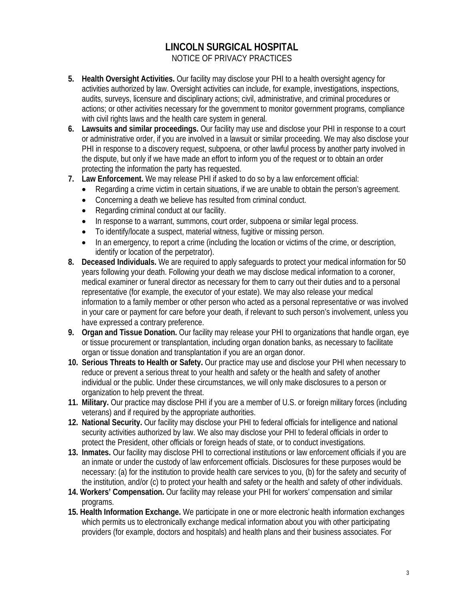- **5. Health Oversight Activities.** Our facility may disclose your PHI to a health oversight agency for activities authorized by law. Oversight activities can include, for example, investigations, inspections, audits, surveys, licensure and disciplinary actions; civil, administrative, and criminal procedures or actions; or other activities necessary for the government to monitor government programs, compliance with civil rights laws and the health care system in general.
- **6. Lawsuits and similar proceedings.** Our facility may use and disclose your PHI in response to a court or administrative order, if you are involved in a lawsuit or similar proceeding. We may also disclose your PHI in response to a discovery request, subpoena, or other lawful process by another party involved in the dispute, but only if we have made an effort to inform you of the request or to obtain an order protecting the information the party has requested.
- **7. Law Enforcement.** We may release PHI if asked to do so by a law enforcement official:
	- Regarding a crime victim in certain situations, if we are unable to obtain the person's agreement.
	- Concerning a death we believe has resulted from criminal conduct.
	- Regarding criminal conduct at our facility.
	- In response to a warrant, summons, court order, subpoena or similar legal process.
	- To identify/locate a suspect, material witness, fugitive or missing person.
	- In an emergency, to report a crime (including the location or victims of the crime, or description, identify or location of the perpetrator).
- **8. Deceased Individuals.** We are required to apply safeguards to protect your medical information for 50 years following your death. Following your death we may disclose medical information to a coroner, medical examiner or funeral director as necessary for them to carry out their duties and to a personal representative (for example, the executor of your estate). We may also release your medical information to a family member or other person who acted as a personal representative or was involved in your care or payment for care before your death, if relevant to such person's involvement, unless you have expressed a contrary preference.
- **9. Organ and Tissue Donation.** Our facility may release your PHI to organizations that handle organ, eye or tissue procurement or transplantation, including organ donation banks, as necessary to facilitate organ or tissue donation and transplantation if you are an organ donor.
- **10. Serious Threats to Health or Safety.** Our practice may use and disclose your PHI when necessary to reduce or prevent a serious threat to your health and safety or the health and safety of another individual or the public. Under these circumstances, we will only make disclosures to a person or organization to help prevent the threat.
- **11. Military.** Our practice may disclose PHI if you are a member of U.S. or foreign military forces (including veterans) and if required by the appropriate authorities.
- **12. National Security.** Our facility may disclose your PHI to federal officials for intelligence and national security activities authorized by law. We also may disclose your PHI to federal officials in order to protect the President, other officials or foreign heads of state, or to conduct investigations.
- **13. Inmates.** Our facility may disclose PHI to correctional institutions or law enforcement officials if you are an inmate or under the custody of law enforcement officials. Disclosures for these purposes would be necessary: (a) for the institution to provide health care services to you, (b) for the safety and security of the institution, and/or (c) to protect your health and safety or the health and safety of other individuals.
- **14. Workers' Compensation.** Our facility may release your PHI for workers' compensation and similar programs.
- **15. Health Information Exchange.** We participate in one or more electronic health information exchanges which permits us to electronically exchange medical information about you with other participating providers (for example, doctors and hospitals) and health plans and their business associates. For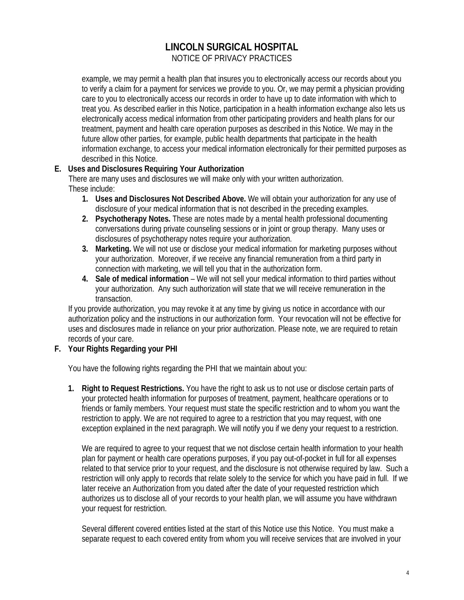example, we may permit a health plan that insures you to electronically access our records about you to verify a claim for a payment for services we provide to you. Or, we may permit a physician providing care to you to electronically access our records in order to have up to date information with which to treat you. As described earlier in this Notice, participation in a health information exchange also lets us electronically access medical information from other participating providers and health plans for our treatment, payment and health care operation purposes as described in this Notice. We may in the future allow other parties, for example, public health departments that participate in the health information exchange, to access your medical information electronically for their permitted purposes as described in this Notice.

### **E. Uses and Disclosures Requiring Your Authorization**

There are many uses and disclosures we will make only with your written authorization. These include:

- **1. Uses and Disclosures Not Described Above.** We will obtain your authorization for any use of disclosure of your medical information that is not described in the preceding examples.
- **2. Psychotherapy Notes.** These are notes made by a mental health professional documenting conversations during private counseling sessions or in joint or group therapy. Many uses or disclosures of psychotherapy notes require your authorization.
- **3. Marketing.** We will not use or disclose your medical information for marketing purposes without your authorization. Moreover, if we receive any financial remuneration from a third party in connection with marketing, we will tell you that in the authorization form.
- **4. Sale of medical information** We will not sell your medical information to third parties without your authorization. Any such authorization will state that we will receive remuneration in the transaction.

If you provide authorization, you may revoke it at any time by giving us notice in accordance with our authorization policy and the instructions in our authorization form. Your revocation will not be effective for uses and disclosures made in reliance on your prior authorization. Please note, we are required to retain records of your care.

### **F. Your Rights Regarding your PHI**

You have the following rights regarding the PHI that we maintain about you:

**1. Right to Request Restrictions.** You have the right to ask us to not use or disclose certain parts of your protected health information for purposes of treatment, payment, healthcare operations or to friends or family members. Your request must state the specific restriction and to whom you want the restriction to apply. We are not required to agree to a restriction that you may request, with one exception explained in the next paragraph. We will notify you if we deny your request to a restriction.

We are required to agree to your request that we not disclose certain health information to your health plan for payment or health care operations purposes, if you pay out-of-pocket in full for all expenses related to that service prior to your request, and the disclosure is not otherwise required by law. Such a restriction will only apply to records that relate solely to the service for which you have paid in full. If we later receive an Authorization from you dated after the date of your requested restriction which authorizes us to disclose all of your records to your health plan, we will assume you have withdrawn your request for restriction.

Several different covered entities listed at the start of this Notice use this Notice. You must make a separate request to each covered entity from whom you will receive services that are involved in your